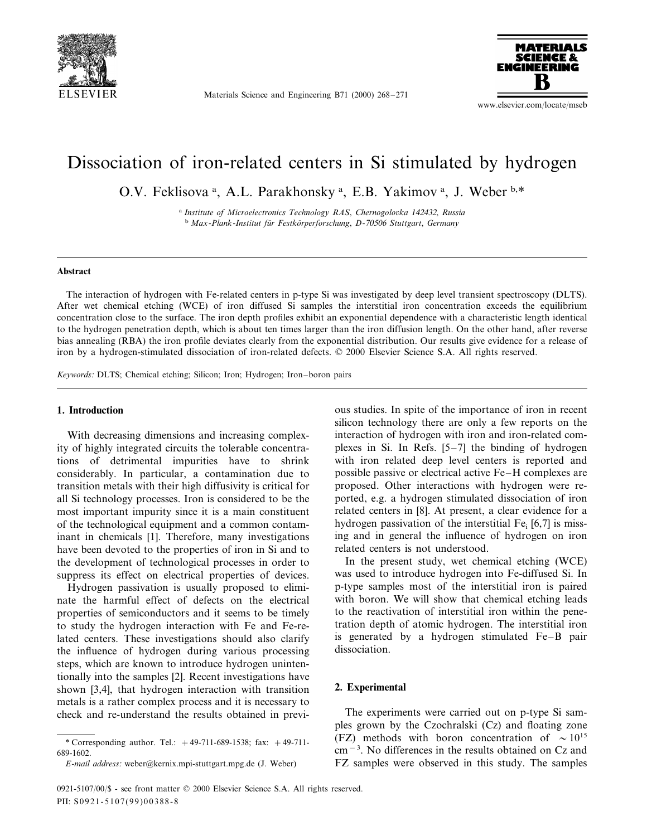

Materials Science and Engineering B71 (2000) 268–271



www.elsevier.com/locate/mseb

# Dissociation of iron-related centers in Si stimulated by hydrogen

O.V. Feklisova<sup>a</sup>, A.L. Parakhonsky<sup>a</sup>, E.B. Yakimov<sup>a</sup>, J. Weber<sup>b,\*</sup>

<sup>a</sup> *Institute of Microelectronics Technology RAS*, *Chernogolo*6*ka* <sup>142432</sup>, *Russia* <sup>b</sup> *Max*-*Plank*-*Institut fu¨r Festko¨rperforschung*, *D*-<sup>70506</sup> *Stuttgart*, *Germany*

### **Abstract**

The interaction of hydrogen with Fe-related centers in p-type Si was investigated by deep level transient spectroscopy (DLTS). After wet chemical etching (WCE) of iron diffused Si samples the interstitial iron concentration exceeds the equilibrium concentration close to the surface. The iron depth profiles exhibit an exponential dependence with a characteristic length identical to the hydrogen penetration depth, which is about ten times larger than the iron diffusion length. On the other hand, after reverse bias annealing (RBA) the iron profile deviates clearly from the exponential distribution. Our results give evidence for a release of iron by a hydrogen-stimulated dissociation of iron-related defects. © 2000 Elsevier Science S.A. All rights reserved.

*Keywords*: DLTS; Chemical etching; Silicon; Iron; Hydrogen; Iron–boron pairs

## **1. Introduction**

With decreasing dimensions and increasing complexity of highly integrated circuits the tolerable concentrations of detrimental impurities have to shrink considerably. In particular, a contamination due to transition metals with their high diffusivity is critical for all Si technology processes. Iron is considered to be the most important impurity since it is a main constituent of the technological equipment and a common contaminant in chemicals [1]. Therefore, many investigations have been devoted to the properties of iron in Si and to the development of technological processes in order to suppress its effect on electrical properties of devices.

Hydrogen passivation is usually proposed to eliminate the harmful effect of defects on the electrical properties of semiconductors and it seems to be timely to study the hydrogen interaction with Fe and Fe-related centers. These investigations should also clarify the influence of hydrogen during various processing steps, which are known to introduce hydrogen unintentionally into the samples [2]. Recent investigations have shown [3,4], that hydrogen interaction with transition metals is a rather complex process and it is necessary to check and re-understand the results obtained in previous studies. In spite of the importance of iron in recent silicon technology there are only a few reports on the interaction of hydrogen with iron and iron-related complexes in Si. In Refs. [5–7] the binding of hydrogen with iron related deep level centers is reported and possible passive or electrical active Fe–H complexes are proposed. Other interactions with hydrogen were reported, e.g. a hydrogen stimulated dissociation of iron related centers in [8]. At present, a clear evidence for a hydrogen passivation of the interstitial  $Fe<sub>i</sub>$  [6,7] is missing and in general the influence of hydrogen on iron related centers is not understood.

In the present study, wet chemical etching (WCE) was used to introduce hydrogen into Fe-diffused Si. In p-type samples most of the interstitial iron is paired with boron. We will show that chemical etching leads to the reactivation of interstitial iron within the penetration depth of atomic hydrogen. The interstitial iron is generated by a hydrogen stimulated Fe–B pair dissociation.

# **2. Experimental**

The experiments were carried out on p-type Si samples grown by the Czochralski (Cz) and floating zone (FZ) methods with boron concentration of  $\sim 10^{15}$ cm−<sup>3</sup> . No differences in the results obtained on Cz and FZ samples were observed in this study. The samples

<sup>\*</sup> Corresponding author. Tel.: +49-711-689-1538; fax: +49-711- 689-1602.

*E*-*mail address*: weber@kernix.mpi-stuttgart.mpg.de (J. Weber)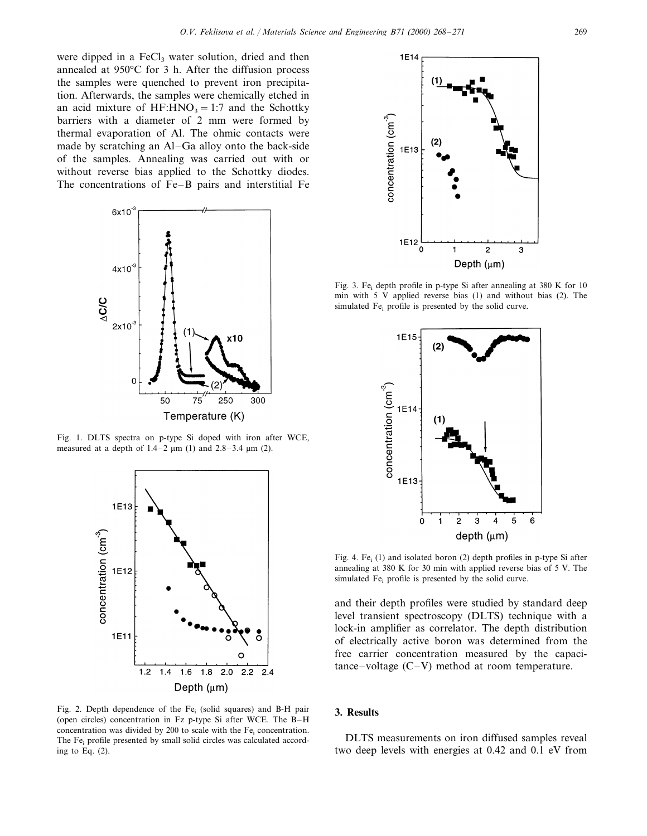were dipped in a  $FeCl<sub>3</sub>$  water solution, dried and then annealed at 950°C for 3 h. After the diffusion process the samples were quenched to prevent iron precipitation. Afterwards, the samples were chemically etched in an acid mixture of HF:HNO<sub>3</sub> = 1:7 and the Schottky barriers with a diameter of 2 mm were formed by thermal evaporation of Al. The ohmic contacts were made by scratching an Al–Ga alloy onto the back-side of the samples. Annealing was carried out with or without reverse bias applied to the Schottky diodes. The concentrations of Fe–B pairs and interstitial Fe



Fig. 1. DLTS spectra on p-type Si doped with iron after WCE, measured at a depth of  $1.4-2 \mu m$  (1) and  $2.8-3.4 \mu m$  (2).



Fig. 2. Depth dependence of the Fe<sub>i</sub> (solid squares) and B-H pair (open circles) concentration in Fz p-type Si after WCE. The B–H concentration was divided by 200 to scale with the Fe<sub>i</sub> concentration. The Fe<sub>i</sub> profile presented by small solid circles was calculated according to Eq. (2).



Fig. 3. Fe<sub>i</sub> depth profile in p-type Si after annealing at 380 K for 10 min with 5 V applied reverse bias (1) and without bias (2). The simulated Fe<sub>i</sub> profile is presented by the solid curve.



Fig. 4. Fe<sub>i</sub>  $(1)$  and isolated boron  $(2)$  depth profiles in p-type Si after annealing at 380 K for 30 min with applied reverse bias of 5 V. The simulated Fe<sub>i</sub> profile is presented by the solid curve.

and their depth profiles were studied by standard deep level transient spectroscopy (DLTS) technique with a lock-in amplifier as correlator. The depth distribution of electrically active boron was determined from the free carrier concentration measured by the capaci $tance-voltage (C-V)$  method at room temperature.

# **3. Results**

DLTS measurements on iron diffused samples reveal two deep levels with energies at 0.42 and 0.1 eV from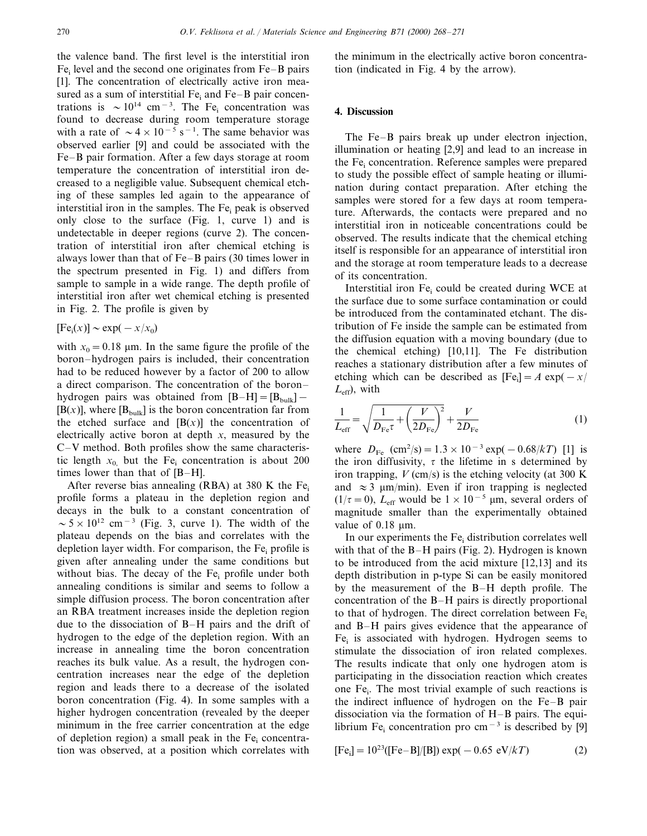the valence band. The first level is the interstitial iron  $Fe<sub>i</sub>$  level and the second one originates from  $Fe-B$  pairs [1]. The concentration of electrically active iron measured as a sum of interstitial Fe<sub>i</sub> and Fe–B pair concentrations is  $\sim 10^{14}$  cm<sup>-3</sup>. The Fe<sub>i</sub> concentration was found to decrease during room temperature storage with a rate of  $\sim 4 \times 10^{-5}$  s<sup>-1</sup>. The same behavior was observed earlier [9] and could be associated with the Fe–B pair formation. After a few days storage at room temperature the concentration of interstitial iron decreased to a negligible value. Subsequent chemical etching of these samples led again to the appearance of interstitial iron in the samples. The  $Fe<sub>i</sub>$  peak is observed only close to the surface (Fig. 1, curve 1) and is undetectable in deeper regions (curve 2). The concentration of interstitial iron after chemical etching is always lower than that of Fe–B pairs (30 times lower in the spectrum presented in Fig. 1) and differs from sample to sample in a wide range. The depth profile of interstitial iron after wet chemical etching is presented in Fig. 2. The profile is given by

$$
[\mathrm{Fe}_{\mathrm{i}}(x)] \sim \exp(-x/x_0)
$$

with  $x_0 = 0.18$  µm. In the same figure the profile of the boron–hydrogen pairs is included, their concentration had to be reduced however by a factor of 200 to allow a direct comparison. The concentration of the boron– hydrogen pairs was obtained from  $[B-H]=[B_{bulk}] [B(x)]$ , where  $[B_{\text{bulk}}]$  is the boron concentration far from the etched surface and  $[B(x)]$  the concentration of electrically active boron at depth *x*, measured by the C–V method. Both profiles show the same characteristic length  $x_0$  but the Fe<sub>i</sub> concentration is about 200 times lower than that of [B–H].

After reverse bias annealing (RBA) at 380 K the Fe<sub>i</sub> profile forms a plateau in the depletion region and decays in the bulk to a constant concentration of  $\sim 5 \times 10^{12}$  cm<sup>-3</sup> (Fig. 3, curve 1). The width of the plateau depends on the bias and correlates with the depletion layer width. For comparison, the  $Fe<sub>i</sub>$  profile is given after annealing under the same conditions but without bias. The decay of the  $Fe<sub>i</sub>$  profile under both annealing conditions is similar and seems to follow a simple diffusion process. The boron concentration after an RBA treatment increases inside the depletion region due to the dissociation of B–H pairs and the drift of hydrogen to the edge of the depletion region. With an increase in annealing time the boron concentration reaches its bulk value. As a result, the hydrogen concentration increases near the edge of the depletion region and leads there to a decrease of the isolated boron concentration (Fig. 4). In some samples with a higher hydrogen concentration (revealed by the deeper minimum in the free carrier concentration at the edge of depletion region) a small peak in the  $Fe<sub>i</sub>$  concentration was observed, at a position which correlates with

the minimum in the electrically active boron concentration (indicated in Fig. 4 by the arrow).

# **4. Discussion**

The Fe–B pairs break up under electron injection, illumination or heating [2,9] and lead to an increase in the Fe<sub>i</sub> concentration. Reference samples were prepared to study the possible effect of sample heating or illumination during contact preparation. After etching the samples were stored for a few days at room temperature. Afterwards, the contacts were prepared and no interstitial iron in noticeable concentrations could be observed. The results indicate that the chemical etching itself is responsible for an appearance of interstitial iron and the storage at room temperature leads to a decrease of its concentration.

Interstitial iron  $Fe<sub>i</sub>$  could be created during WCE at the surface due to some surface contamination or could be introduced from the contaminated etchant. The distribution of Fe inside the sample can be estimated from the diffusion equation with a moving boundary (due to the chemical etching) [10,11]. The Fe distribution reaches a stationary distribution after a few minutes of etching which can be described as  $[Fe_i] = A \exp(-x)$  $L_{\text{eff}}$ ), with

$$
\frac{1}{L_{\text{eff}}} = \sqrt{\frac{1}{D_{\text{Fe}}\tau} + \left(\frac{V}{2D_{\text{Fe}}}\right)^2} + \frac{V}{2D_{\text{Fe}}}
$$
(1)

where  $D_{\text{Fe}}$  (cm<sup>2</sup>/s) = 1.3 × 10<sup>-3</sup> exp( – 0.68/*kT*) [1] is the iron diffusivity,  $\tau$  the lifetime in s determined by iron trapping,  $V$  (cm/s) is the etching velocity (at 300 K) and  $\approx$  3 µm/min). Even if iron trapping is neglected  $(1/\tau=0)$ , *L*<sub>eff</sub> would be  $1\times 10^{-5}$  µm, several orders of magnitude smaller than the experimentally obtained value of  $0.18 \mu m$ .

In our experiments the  $Fe<sub>i</sub>$  distribution correlates well with that of the B–H pairs (Fig. 2). Hydrogen is known to be introduced from the acid mixture [12,13] and its depth distribution in p-type Si can be easily monitored by the measurement of the B–H depth profile. The concentration of the B–H pairs is directly proportional to that of hydrogen. The direct correlation between  $Fe<sub>i</sub>$ and B–H pairs gives evidence that the appearance of  $Fe<sub>i</sub>$  is associated with hydrogen. Hydrogen seems to stimulate the dissociation of iron related complexes. The results indicate that only one hydrogen atom is participating in the dissociation reaction which creates one  $Fe<sub>i</sub>$ . The most trivial example of such reactions is the indirect influence of hydrogen on the Fe–B pair dissociation via the formation of H–B pairs. The equilibrium Fe<sub>i</sub> concentration pro cm<sup>-3</sup> is described by [9]

$$
[Fe_i] = 10^{23} ([Fe-B]/[B]) \exp(-0.65 \text{ eV}/kT)
$$
 (2)